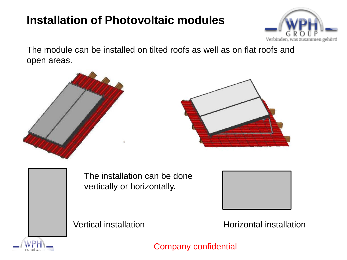## **Installation of Photovoltaic modules**



The module can be installed on tilted roofs as well as on flat roofs and open areas.





The installation can be done vertically or horizontally.



Vertical installation Metallation **Horizontal installation**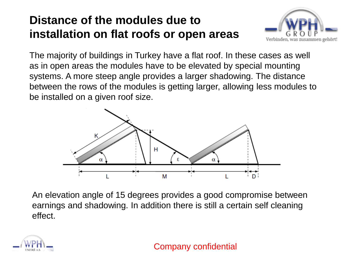## **Distance of the modules due to installation on flat roofs or open areas**



The majority of buildings in Turkey have a flat roof. In these cases as well as in open areas the modules have to be elevated by special mounting systems. A more steep angle provides a larger shadowing. The distance between the rows of the modules is getting larger, allowing less modules to be installed on a given roof size.



An elevation angle of 15 degrees provides a good compromise between earnings and shadowing. In addition there is still a certain self cleaning effect.

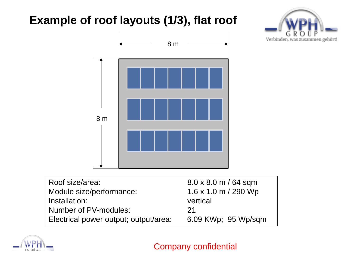## **Example of roof layouts (1/3), flat roof**





| Roof size/area:                       | $8.0 \times 8.0$ m / 64 sqm         |
|---------------------------------------|-------------------------------------|
| Module size/performance:              | $1.6 \times 1.0 \text{ m}$ / 290 Wp |
| Installation:                         | vertical                            |
| Number of PV-modules:                 | -21                                 |
| Electrical power output; output/area: | 6.09 KWp; 95 Wp/sqm                 |

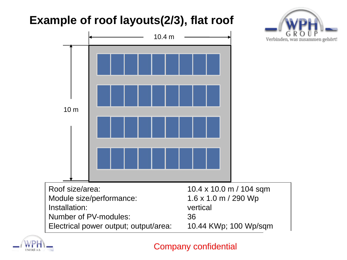# **Example of roof layouts(2/3), flat roof**